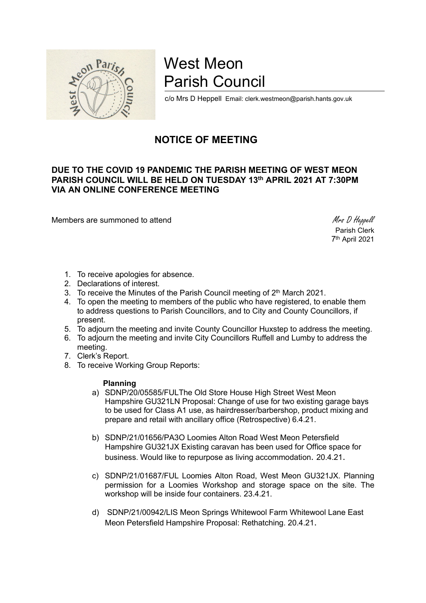

# West Meon Parish Council

c/o Mrs D Heppell Email: clerk.westmeon@parish.hants.gov.uk

# NOTICE OF MEETING

# DUE TO THE COVID 19 PANDEMIC THE PARISH MEETING OF WEST MEON PARISH COUNCIL WILL BE HELD ON TUESDAY 13th APRIL 2021 AT 7:30PM VIA AN ONLINE CONFERENCE MEETING

Members are summoned to attend Members are summoned to attend Members and Members are summoned to attend Members and Members are summoned to attend  $M$ rs D Heppell

 Parish Clerk 7 th April 2021

- 1. To receive apologies for absence.
- 2. Declarations of interest.
- 3. To receive the Minutes of the Parish Council meeting of 2<sup>th</sup> March 2021.
- 4. To open the meeting to members of the public who have registered, to enable them to address questions to Parish Councillors, and to City and County Councillors, if present.
- 5. To adjourn the meeting and invite County Councillor Huxstep to address the meeting.
- 6. To adjourn the meeting and invite City Councillors Ruffell and Lumby to address the meeting.
- 7. Clerk's Report.
- 8. To receive Working Group Reports:

#### Planning

- a) SDNP/20/05585/FULThe Old Store House High Street West Meon Hampshire GU321LN Proposal: Change of use for two existing garage bays to be used for Class A1 use, as hairdresser/barbershop, product mixing and prepare and retail with ancillary office (Retrospective) 6.4.21.
- b) SDNP/21/01656/PA3O Loomies Alton Road West Meon Petersfield Hampshire GU321JX Existing caravan has been used for Office space for business. Would like to repurpose as living accommodation. 20.4.21.
- c) SDNP/21/01687/FUL Loomies Alton Road, West Meon GU321JX. Planning permission for a Loomies Workshop and storage space on the site. The workshop will be inside four containers. 23.4.21.
- d) SDNP/21/00942/LIS Meon Springs Whitewool Farm Whitewool Lane East Meon Petersfield Hampshire Proposal: Rethatching. 20.4.21.